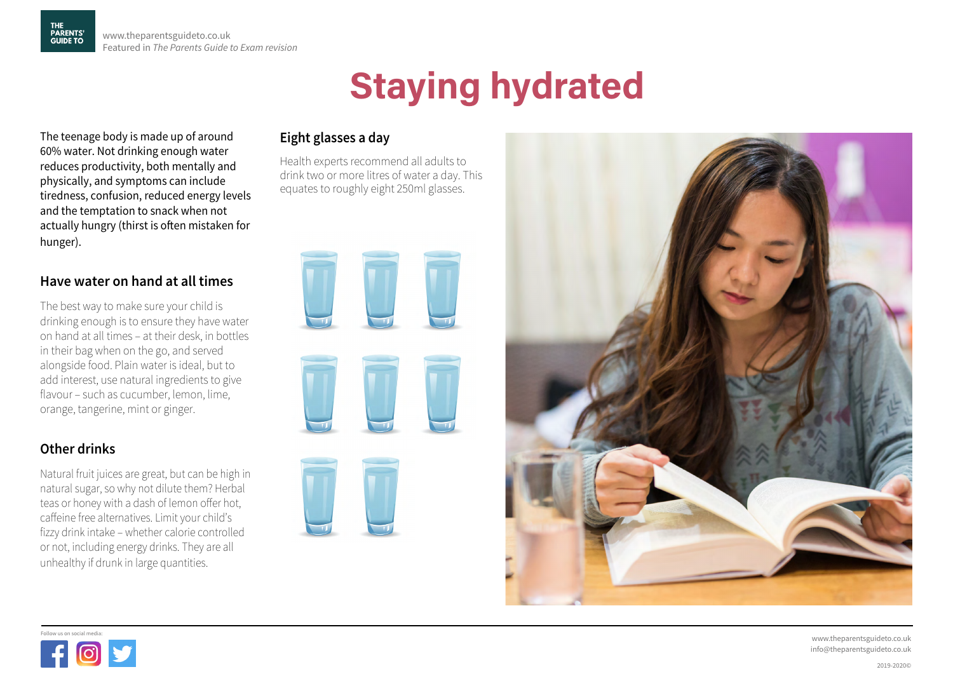# **Staying hydrated**

The teenage body is made up of around 60% water. Not drinking enough water reduces productivity, both mentally and physically, and symptoms can include tiredness, confusion, reduced energy levels and the temptation to snack when not actually hungry (thirst is often mistaken for hunger).

## **Have water on hand at all times**

The best way to make sure your child is drinking enough is to ensure they have water on hand at all times – at their desk, in bottles in their bag when on the go, and served alongside food. Plain water is ideal, but to add interest, use natural ingredients to give flavour – such as cucumber, lemon, lime, orange, tangerine, mint or ginger.

## **Other drinks**

Natural fruit juices are great, but can be high in natural sugar, so why not dilute them? Herbal teas or honey with a dash of lemon offer hot, caffeine free alternatives. Limit your child's fizzy drink intake – whether calorie controlled or not, including energy drinks. They are all unhealthy if drunk in large quantities.

## **Eight glasses a day**

Health experts recommend all adults to drink two or more litres of water a day. This equates to roughly eight 250ml glasses.









www.theparentsguideto.co.uk info@theparentsguideto.co.uk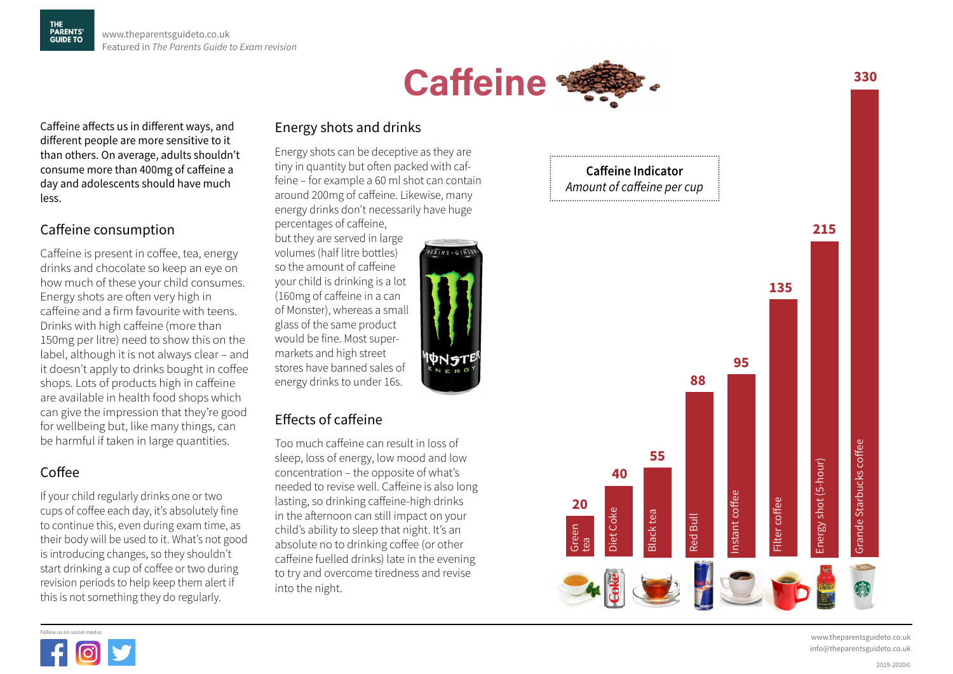

Caffeine affects us in different ways, and different people are more sensitive to it than others. On average, adults shouldn't consume more than 400mg of caffeine a day and adolescents should have much less.

## Caffeine consumption

Caffeine is present in coffee, tea, energy drinks and chocolate so keep an eye on how much of these your child consumes. Energy shots are often very high in caffeine and a firm favourite with teens. Drinks with high caffeine (more than 150mg per litre) need to show this on the label, although it is not always clear – and it doesn't apply to drinks bought in coffee shops. Lots of products high in caffeine are available in health food shops which can give the impression that they're good for wellbeing but, like many things, can be harmful if taken in large quantities.

## Coffee

If your child regularly drinks one or two cups of coffee each day, it's absolutely fine to continue this, even during exam time, as their body will be used to it. What's not good is introducing changes, so they shouldn't start drinking a cup of coffee or two during revision periods to help keep them alert if this is not something they do regularly.

#### Energy shots and drinks

Energy shots can be deceptive as they are tiny in quantity but often packed with caffeine – for example a 60 ml shot can contain around 200mg of caffeine. Likewise, many energy drinks don't necessarily have huge percentages of caffeine,

**URINE + GINSE** 

but they are served in large volumes (half litre bottles) so the amount of caffeine your child is drinking is a lot (160mg of caffeine in a can of Monster), whereas a small glass of the same product would be fine. Most supermarkets and high street stores have banned sales of energy drinks to under 16s.

## Effects of caffeine

Too much caffeine can result in loss of sleep, loss of energy, low mood and low concentration – the opposite of what's needed to revise well. Caffeine is also long lasting, so drinking caffeine-high drinks in the afternoon can still impact on your child's ability to sleep that night. It's an absolute no to drinking coffee (or other caffeine fuelled drinks) late in the evening to try and overcome tiredness and revise into the night.



www.theparentsguideto.co.uk

**330** 

2019-2020©